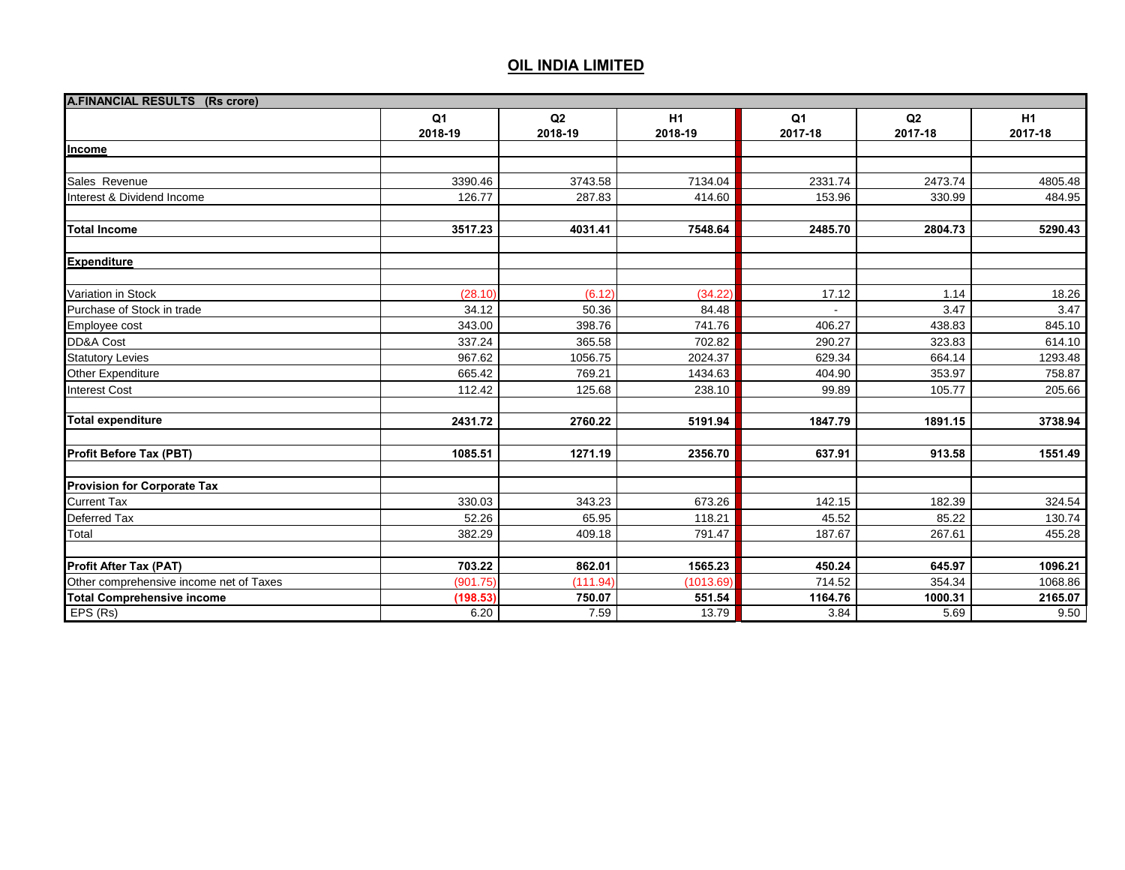| A.FINANCIAL RESULTS (Rs crore)          |                           |               |               |                           |               |               |
|-----------------------------------------|---------------------------|---------------|---------------|---------------------------|---------------|---------------|
|                                         | Q <sub>1</sub><br>2018-19 | Q2<br>2018-19 | H1<br>2018-19 | Q <sub>1</sub><br>2017-18 | Q2<br>2017-18 | H1<br>2017-18 |
| Income                                  |                           |               |               |                           |               |               |
|                                         |                           |               |               |                           |               |               |
| Sales Revenue                           | 3390.46                   | 3743.58       | 7134.04       | 2331.74                   | 2473.74       | 4805.48       |
| Interest & Dividend Income              | 126.77                    | 287.83        | 414.60        | 153.96                    | 330.99        | 484.95        |
| <b>Total Income</b>                     | 3517.23                   | 4031.41       | 7548.64       | 2485.70                   | 2804.73       | 5290.43       |
|                                         |                           |               |               |                           |               |               |
| <b>Expenditure</b>                      |                           |               |               |                           |               |               |
| Variation in Stock                      | (28.10)                   | (6.12)        | (34.22)       | 17.12                     | 1.14          | 18.26         |
| Purchase of Stock in trade              | 34.12                     | 50.36         | 84.48         |                           | 3.47          | 3.47          |
| Employee cost                           | 343.00                    | 398.76        | 741.76        | 406.27                    | 438.83        | 845.10        |
| DD&A Cost                               | 337.24                    | 365.58        | 702.82        | 290.27                    | 323.83        | 614.10        |
| <b>Statutory Levies</b>                 | 967.62                    | 1056.75       | 2024.37       | 629.34                    | 664.14        | 1293.48       |
| <b>Other Expenditure</b>                | 665.42                    | 769.21        | 1434.63       | 404.90                    | 353.97        | 758.87        |
| <b>Interest Cost</b>                    | 112.42                    | 125.68        | 238.10        | 99.89                     | 105.77        | 205.66        |
| <b>Total expenditure</b>                | 2431.72                   | 2760.22       | 5191.94       | 1847.79                   | 1891.15       | 3738.94       |
| <b>Profit Before Tax (PBT)</b>          | 1085.51                   | 1271.19       | 2356.70       | 637.91                    | 913.58        | 1551.49       |
| <b>Provision for Corporate Tax</b>      |                           |               |               |                           |               |               |
| <b>Current Tax</b>                      | 330.03                    | 343.23        | 673.26        | 142.15                    | 182.39        | 324.54        |
| Deferred Tax                            | 52.26                     | 65.95         | 118.21        | 45.52                     | 85.22         | 130.74        |
| Total                                   | 382.29                    | 409.18        | 791.47        | 187.67                    | 267.61        | 455.28        |
| <b>Profit After Tax (PAT)</b>           | 703.22                    | 862.01        | 1565.23       | 450.24                    | 645.97        | 1096.21       |
| Other comprehensive income net of Taxes | (901.75)                  | (111.94)      | (1013.69)     | 714.52                    | 354.34        | 1068.86       |
| <b>Total Comprehensive income</b>       | (198.53)                  | 750.07        | 551.54        | 1164.76                   | 1000.31       | 2165.07       |
| EPS (Rs)                                | 6.20                      | 7.59          | 13.79         | 3.84                      | 5.69          | 9.50          |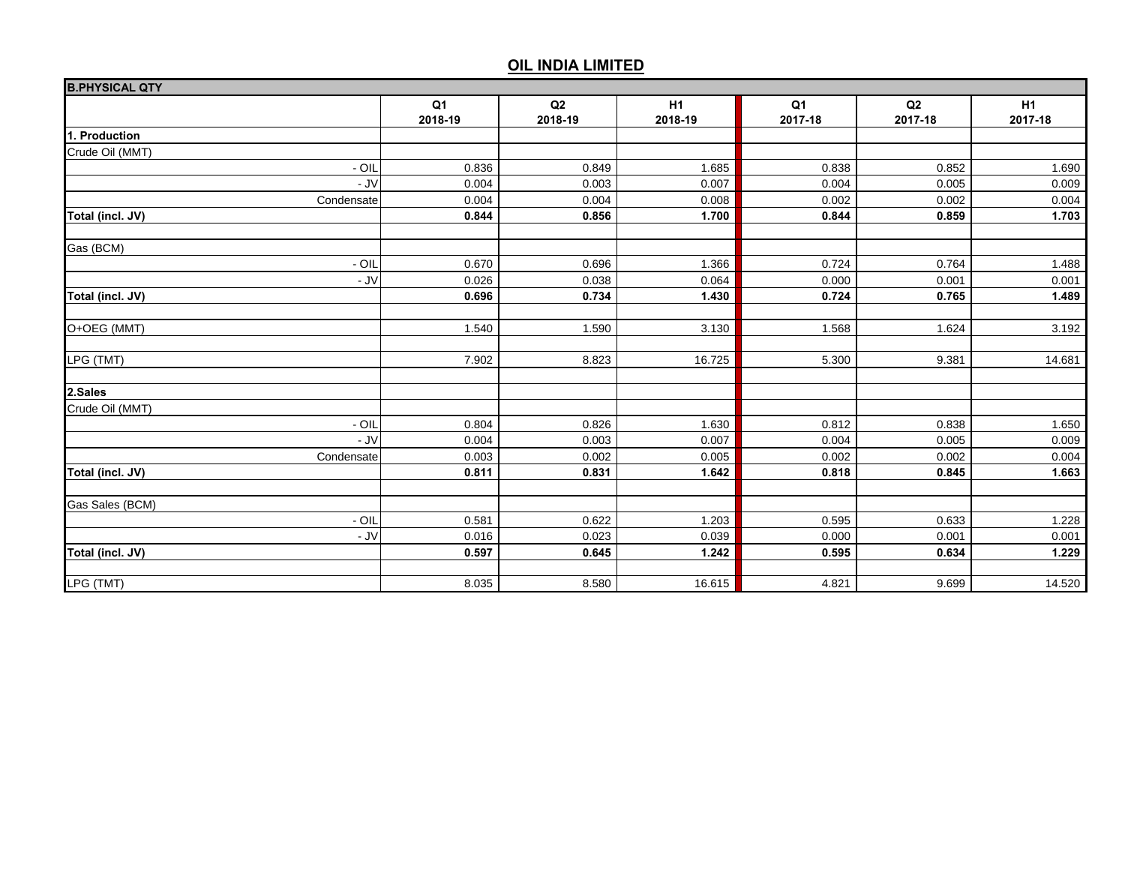| <b>B.PHYSICAL QTY</b> |                           |               |                           |                           |               |                           |
|-----------------------|---------------------------|---------------|---------------------------|---------------------------|---------------|---------------------------|
|                       | Q <sub>1</sub><br>2018-19 | Q2<br>2018-19 | H <sub>1</sub><br>2018-19 | Q <sub>1</sub><br>2017-18 | Q2<br>2017-18 | H <sub>1</sub><br>2017-18 |
| 1. Production         |                           |               |                           |                           |               |                           |
| Crude Oil (MMT)       |                           |               |                           |                           |               |                           |
| $-$ OIL               | 0.836                     | 0.849         | 1.685                     | 0.838                     | 0.852         | 1.690                     |
| $-JV$                 | 0.004                     | 0.003         | 0.007                     | 0.004                     | 0.005         | 0.009                     |
| Condensate            | 0.004                     | 0.004         | 0.008                     | 0.002                     | 0.002         | 0.004                     |
| Total (incl. JV)      | 0.844                     | 0.856         | 1.700                     | 0.844                     | 0.859         | 1.703                     |
| Gas (BCM)             |                           |               |                           |                           |               |                           |
| $-$ OIL               | 0.670                     | 0.696         | 1.366                     | 0.724                     | 0.764         | 1.488                     |
| $-JV$                 | 0.026                     | 0.038         | 0.064                     | 0.000                     | 0.001         | 0.001                     |
| Total (incl. JV)      | 0.696                     | 0.734         | 1.430                     | 0.724                     | 0.765         | 1.489                     |
| O+OEG (MMT)           | 1.540                     | 1.590         | 3.130                     | 1.568                     | 1.624         | 3.192                     |
| LPG (TMT)             | 7.902                     | 8.823         | 16.725                    | 5.300                     | 9.381         | 14.681                    |
| 2.Sales               |                           |               |                           |                           |               |                           |
| Crude Oil (MMT)       |                           |               |                           |                           |               |                           |
| - OIL                 | 0.804                     | 0.826         | 1.630                     | 0.812                     | 0.838         | 1.650                     |
| $-JV$                 | 0.004                     | 0.003         | 0.007                     | 0.004                     | 0.005         | 0.009                     |
| Condensate            | 0.003                     | 0.002         | 0.005                     | 0.002                     | 0.002         | 0.004                     |
| Total (incl. JV)      | 0.811                     | 0.831         | 1.642                     | 0.818                     | 0.845         | 1.663                     |
| Gas Sales (BCM)       |                           |               |                           |                           |               |                           |
| $-$ OIL               | 0.581                     | 0.622         | 1.203                     | 0.595                     | 0.633         | 1.228                     |
| $-JV$                 | 0.016                     | 0.023         | 0.039                     | 0.000                     | 0.001         | 0.001                     |
| Total (incl. JV)      | 0.597                     | 0.645         | 1.242                     | 0.595                     | 0.634         | 1.229                     |
| LPG (TMT)             | 8.035                     | 8.580         | 16.615                    | 4.821                     | 9.699         | 14.520                    |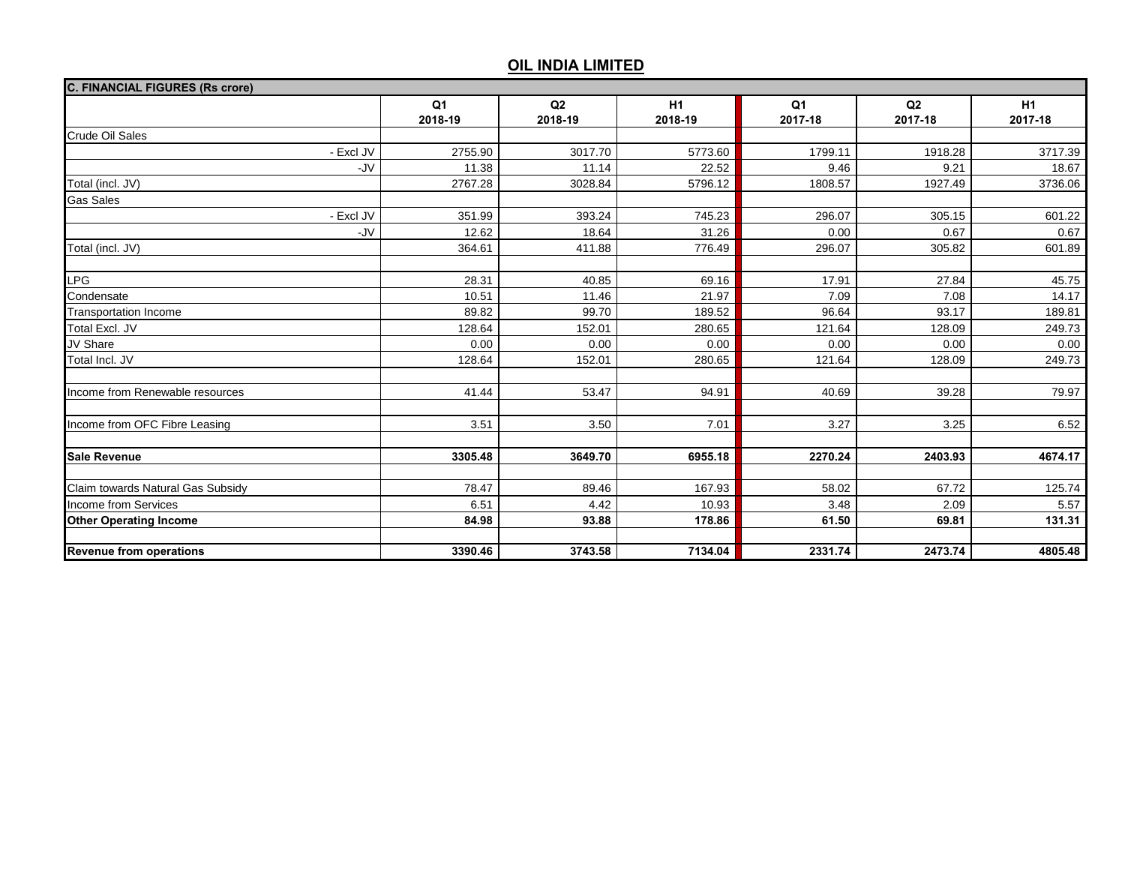| <b>C. FINANCIAL FIGURES (Rs crore)</b> |                           |               |               |                           |               |               |  |  |
|----------------------------------------|---------------------------|---------------|---------------|---------------------------|---------------|---------------|--|--|
|                                        | Q <sub>1</sub><br>2018-19 | Q2<br>2018-19 | H1<br>2018-19 | Q <sub>1</sub><br>2017-18 | Q2<br>2017-18 | H1<br>2017-18 |  |  |
| <b>Crude Oil Sales</b>                 |                           |               |               |                           |               |               |  |  |
| - Excl JV                              | 2755.90                   | 3017.70       | 5773.60       | 1799.11                   | 1918.28       | 3717.39       |  |  |
| -JV                                    | 11.38                     | 11.14         | 22.52         | 9.46                      | 9.21          | 18.67         |  |  |
| Total (incl. JV)                       | 2767.28                   | 3028.84       | 5796.12       | 1808.57                   | 1927.49       | 3736.06       |  |  |
| <b>Gas Sales</b>                       |                           |               |               |                           |               |               |  |  |
| - Excl JV                              | 351.99                    | 393.24        | 745.23        | 296.07                    | 305.15        | 601.22        |  |  |
| -JV                                    | 12.62                     | 18.64         | 31.26         | 0.00                      | 0.67          | 0.67          |  |  |
| Total (incl. JV)                       | 364.61                    | 411.88        | 776.49        | 296.07                    | 305.82        | 601.89        |  |  |
| <b>LPG</b>                             | 28.31                     | 40.85         | 69.16         | 17.91                     | 27.84         | 45.75         |  |  |
| Condensate                             | 10.51                     | 11.46         | 21.97         | 7.09                      | 7.08          | 14.17         |  |  |
| <b>Transportation Income</b>           | 89.82                     | 99.70         | 189.52        | 96.64                     | 93.17         | 189.81        |  |  |
| Total Excl. JV                         | 128.64                    | 152.01        | 280.65        | 121.64                    | 128.09        | 249.73        |  |  |
| JV Share                               | 0.00                      | 0.00          | 0.00          | 0.00                      | 0.00          | 0.00          |  |  |
| Total Incl. JV                         | 128.64                    | 152.01        | 280.65        | 121.64                    | 128.09        | 249.73        |  |  |
| Income from Renewable resources        | 41.44                     | 53.47         | 94.91         | 40.69                     | 39.28         | 79.97         |  |  |
| Income from OFC Fibre Leasing          | 3.51                      | 3.50          | 7.01          | 3.27                      | 3.25          | 6.52          |  |  |
| <b>Sale Revenue</b>                    | 3305.48                   | 3649.70       | 6955.18       | 2270.24                   | 2403.93       | 4674.17       |  |  |
| Claim towards Natural Gas Subsidy      | 78.47                     | 89.46         | 167.93        | 58.02                     | 67.72         | 125.74        |  |  |
| Income from Services                   | 6.51                      | 4.42          | 10.93         | 3.48                      | 2.09          | 5.57          |  |  |
| <b>Other Operating Income</b>          | 84.98                     | 93.88         | 178.86        | 61.50                     | 69.81         | 131.31        |  |  |
| <b>Revenue from operations</b>         | 3390.46                   | 3743.58       | 7134.04       | 2331.74                   | 2473.74       | 4805.48       |  |  |
|                                        |                           |               |               |                           |               |               |  |  |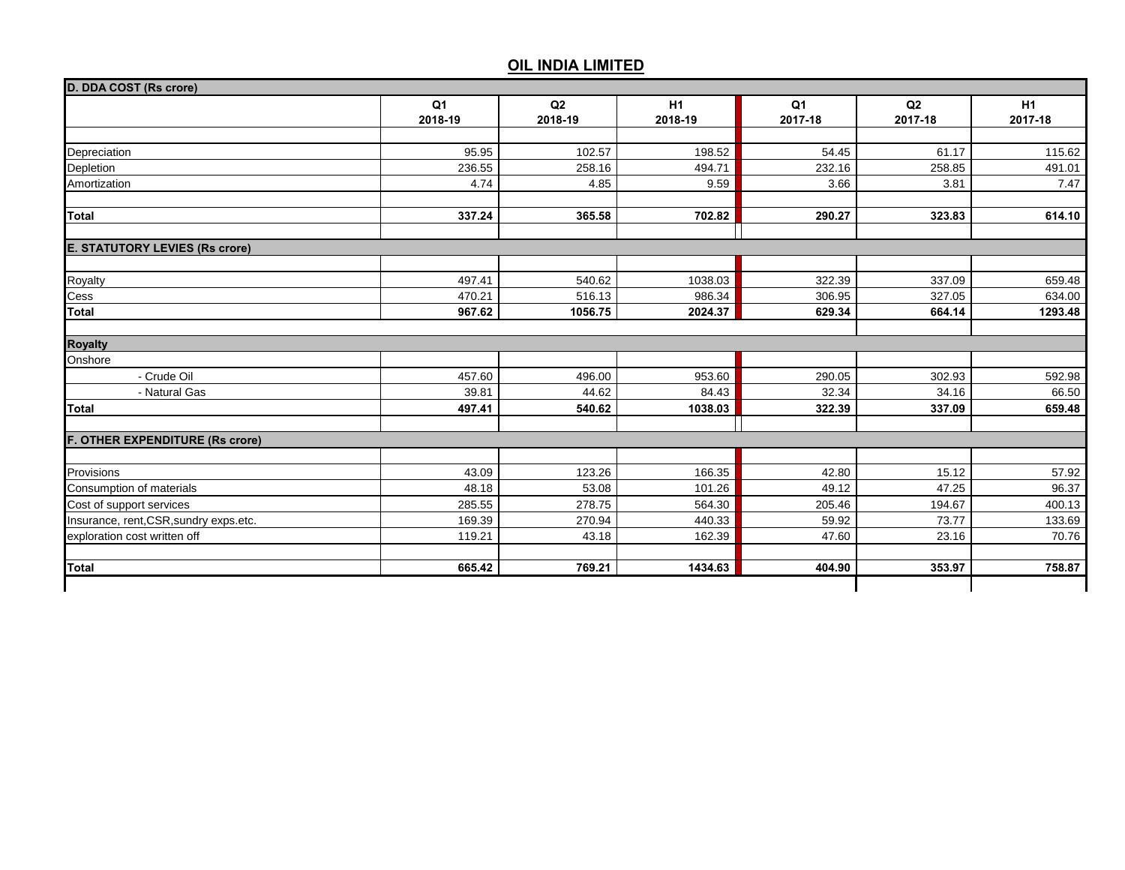| D. DDA COST (Rs crore)                    |                |         |         |                |         |         |
|-------------------------------------------|----------------|---------|---------|----------------|---------|---------|
|                                           | Q <sub>1</sub> | Q2      | H1      | Q <sub>1</sub> | Q2      | H1      |
|                                           | 2018-19        | 2018-19 | 2018-19 | 2017-18        | 2017-18 | 2017-18 |
|                                           |                |         |         |                |         |         |
| Depreciation                              | 95.95          | 102.57  | 198.52  | 54.45          | 61.17   | 115.62  |
| Depletion                                 | 236.55         | 258.16  | 494.71  | 232.16         | 258.85  | 491.01  |
| Amortization                              | 4.74           | 4.85    | 9.59    | 3.66           | 3.81    | 7.47    |
| <b>Total</b>                              | 337.24         | 365.58  | 702.82  | 290.27         | 323.83  | 614.10  |
|                                           |                |         |         |                |         |         |
| <b>E. STATUTORY LEVIES (Rs crore)</b>     |                |         |         |                |         |         |
| Royalty                                   | 497.41         | 540.62  | 1038.03 | 322.39         | 337.09  | 659.48  |
| Cess                                      | 470.21         | 516.13  | 986.34  | 306.95         | 327.05  | 634.00  |
| <b>Total</b>                              | 967.62         | 1056.75 | 2024.37 | 629.34         | 664.14  | 1293.48 |
| <b>Royalty</b>                            |                |         |         |                |         |         |
| Onshore                                   |                |         |         |                |         |         |
| - Crude Oil                               | 457.60         | 496.00  | 953.60  | 290.05         | 302.93  | 592.98  |
| - Natural Gas                             | 39.81          | 44.62   | 84.43   | 32.34          | 34.16   | 66.50   |
| <b>Total</b>                              | 497.41         | 540.62  | 1038.03 | 322.39         | 337.09  | 659.48  |
| F.<br><b>OTHER EXPENDITURE (Rs crore)</b> |                |         |         |                |         |         |
|                                           |                |         |         |                |         |         |
| Provisions                                | 43.09          | 123.26  | 166.35  | 42.80          | 15.12   | 57.92   |
| Consumption of materials                  | 48.18          | 53.08   | 101.26  | 49.12          | 47.25   | 96.37   |
| Cost of support services                  | 285.55         | 278.75  | 564.30  | 205.46         | 194.67  | 400.13  |
| Insurance, rent, CSR, sundry exps.etc.    | 169.39         | 270.94  | 440.33  | 59.92          | 73.77   | 133.69  |
| exploration cost written off              | 119.21         | 43.18   | 162.39  | 47.60          | 23.16   | 70.76   |
| Total                                     | 665.42         | 769.21  | 1434.63 | 404.90         | 353.97  | 758.87  |